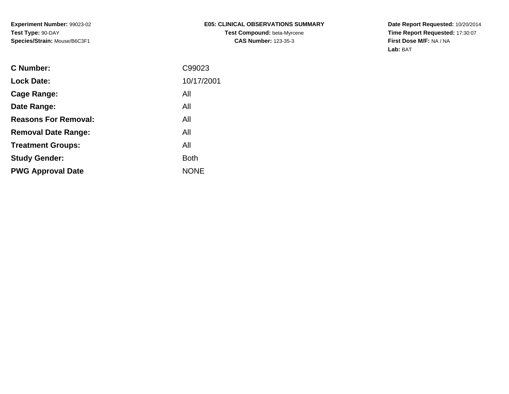**Experiment Number:** 99023-02**Test Type:** 90-DAY**Species/Strain:** Mouse/B6C3F1

# **E05: CLINICAL OBSERVATIONS SUMMARYTest Compound:** beta-Myrcene**CAS Number:** 123-35-3

**Date Report Requested:** 10/20/2014 **Time Report Requested:** 17:30:07**First Dose M/F:** NA / NA**Lab:** BAT

| <b>Lock Date:</b><br>All<br>Cage Range:<br>All<br>Date Range:<br><b>Reasons For Removal:</b><br>All<br>All<br><b>Removal Date Range:</b><br>All<br><b>Treatment Groups:</b><br><b>Both</b><br><b>Study Gender:</b><br><b>NONE</b><br><b>PWG Approval Date</b> | C Number: | C99023     |
|---------------------------------------------------------------------------------------------------------------------------------------------------------------------------------------------------------------------------------------------------------------|-----------|------------|
|                                                                                                                                                                                                                                                               |           | 10/17/2001 |
|                                                                                                                                                                                                                                                               |           |            |
|                                                                                                                                                                                                                                                               |           |            |
|                                                                                                                                                                                                                                                               |           |            |
|                                                                                                                                                                                                                                                               |           |            |
|                                                                                                                                                                                                                                                               |           |            |
|                                                                                                                                                                                                                                                               |           |            |
|                                                                                                                                                                                                                                                               |           |            |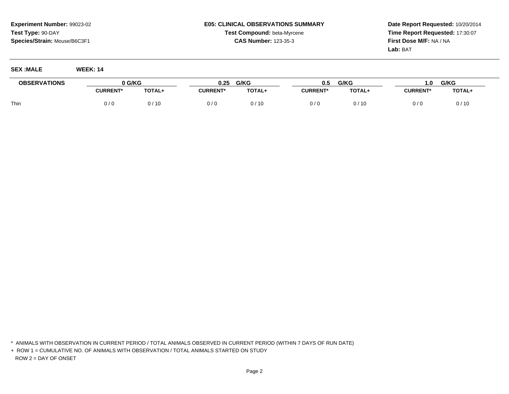# **E05: CLINICAL OBSERVATIONS SUMMARYTest Compound:** beta-Myrcene**CAS Number:** 123-35-3

**Date Report Requested:** 10/20/2014**Time Report Requested:** 17:30:07**First Dose M/F:** NA / NA**Lab:** BAT

#### **SEX :MALE WEEK: 14**

| <b>OBSERVATIONS</b> | <b>G/KG</b>     |        | 0.25           | G/KG   | 0.5             | G/KG   | $\blacksquare$ .0 | G/KG   |
|---------------------|-----------------|--------|----------------|--------|-----------------|--------|-------------------|--------|
|                     | <b>JURRENT*</b> | TOTAL+ | <b>CURRENT</b> | TOTAL+ | <b>CURRENT*</b> | TOTAL+ | <b>CURRENT*</b>   | TOTAL+ |
| Thin                | 0/0             | 0 / 10 |                | 0/10   | $1/$ C          | /10    | 0 / J             | 0/10   |

\* ANIMALS WITH OBSERVATION IN CURRENT PERIOD / TOTAL ANIMALS OBSERVED IN CURRENT PERIOD (WITHIN 7 DAYS OF RUN DATE)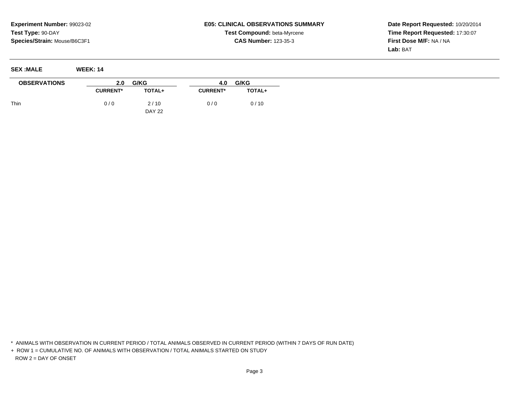**SEX :MALE WEEK: 14**

### **E05: CLINICAL OBSERVATIONS SUMMARYTest Compound:** beta-Myrcene**CAS Number:** 123-35-3

**Date Report Requested:** 10/20/2014**Time Report Requested:** 17:30:07**First Dose M/F:** NA / NA**Lab:** BAT

| ___________         | --------        |               |                 |        |
|---------------------|-----------------|---------------|-----------------|--------|
| <b>OBSERVATIONS</b> | 2.0             | G/KG          | 4.0             | G/KG   |
|                     | <b>CURRENT*</b> | TOTAL+        | <b>CURRENT*</b> | TOTAL+ |
| Thin                | 0/0             | 2/10          | 0/0             | 0/10   |
|                     |                 | <b>DAY 22</b> |                 |        |

\* ANIMALS WITH OBSERVATION IN CURRENT PERIOD / TOTAL ANIMALS OBSERVED IN CURRENT PERIOD (WITHIN 7 DAYS OF RUN DATE)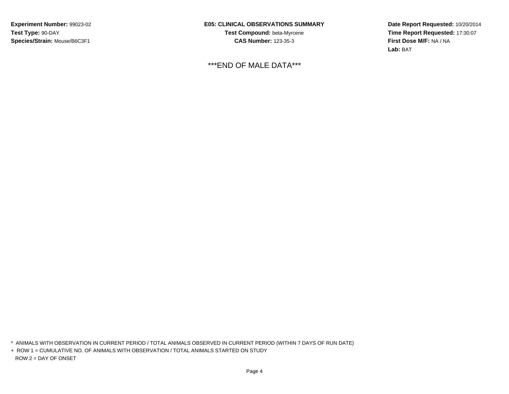**Experiment Number:** 99023-02**Test Type:** 90-DAY**Species/Strain:** Mouse/B6C3F1

**E05: CLINICAL OBSERVATIONS SUMMARYTest Compound:** beta-Myrcene**CAS Number:** 123-35-3

\*\*\*END OF MALE DATA\*\*\*

**Date Report Requested:** 10/20/2014**Time Report Requested:** 17:30:07**First Dose M/F:** NA / NA**Lab:** BAT

\* ANIMALS WITH OBSERVATION IN CURRENT PERIOD / TOTAL ANIMALS OBSERVED IN CURRENT PERIOD (WITHIN 7 DAYS OF RUN DATE)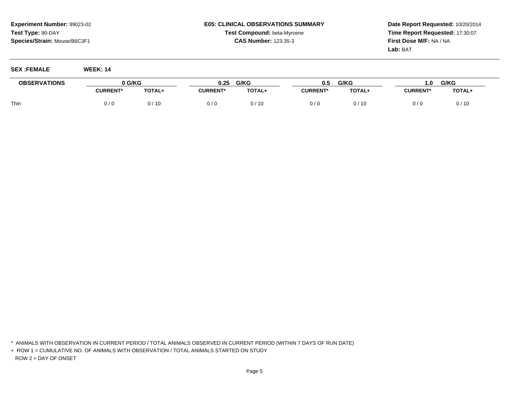# **E05: CLINICAL OBSERVATIONS SUMMARYTest Compound:** beta-Myrcene**CAS Number:** 123-35-3

**Date Report Requested:** 10/20/2014**Time Report Requested:** 17:30:07**First Dose M/F:** NA / NA**Lab:** BAT

### **SEX :FEMALE WEEK: 14**

| <b>OBSERVATIONS</b> | <b>G/KG</b>     |        | 0.25           | G/KG          | 0.5             | G/KG          | $\mathbf{0}$ .  | G/KG   |
|---------------------|-----------------|--------|----------------|---------------|-----------------|---------------|-----------------|--------|
|                     | <b>CURRENT*</b> | TOTAL+ | <b>CURRENT</b> | <b>TOTAL+</b> | <b>CURRENT*</b> | <b>TOTAL+</b> | <b>CURRENT*</b> | TOTAL+ |
| Thin                | J / 0           | / 10   |                | 0/10          | 0/6             | /10           | 0/0             | 0/10   |

\* ANIMALS WITH OBSERVATION IN CURRENT PERIOD / TOTAL ANIMALS OBSERVED IN CURRENT PERIOD (WITHIN 7 DAYS OF RUN DATE)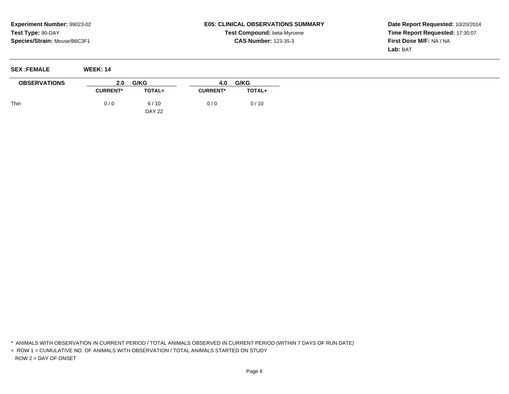**SEX :FEMALE WEEK: 14**

# **E05: CLINICAL OBSERVATIONS SUMMARYTest Compound:** beta-Myrcene**CAS Number:** 123-35-3

**Date Report Requested:** 10/20/2014**Time Report Requested:** 17:30:07**First Dose M/F:** NA / NA**Lab:** BAT

| $V1$ Little         | ------------    |               |                 |               |
|---------------------|-----------------|---------------|-----------------|---------------|
| <b>OBSERVATIONS</b> | 2.0             | G/KG          | 4.0             | G/KG          |
|                     | <b>CURRENT*</b> | TOTAL+        | <b>CURRENT*</b> | <b>TOTAL+</b> |
| Thin                | 0/0             | 6/10          | 0/0             | 0/10          |
|                     |                 | <b>DAY 22</b> |                 |               |

\* ANIMALS WITH OBSERVATION IN CURRENT PERIOD / TOTAL ANIMALS OBSERVED IN CURRENT PERIOD (WITHIN 7 DAYS OF RUN DATE)